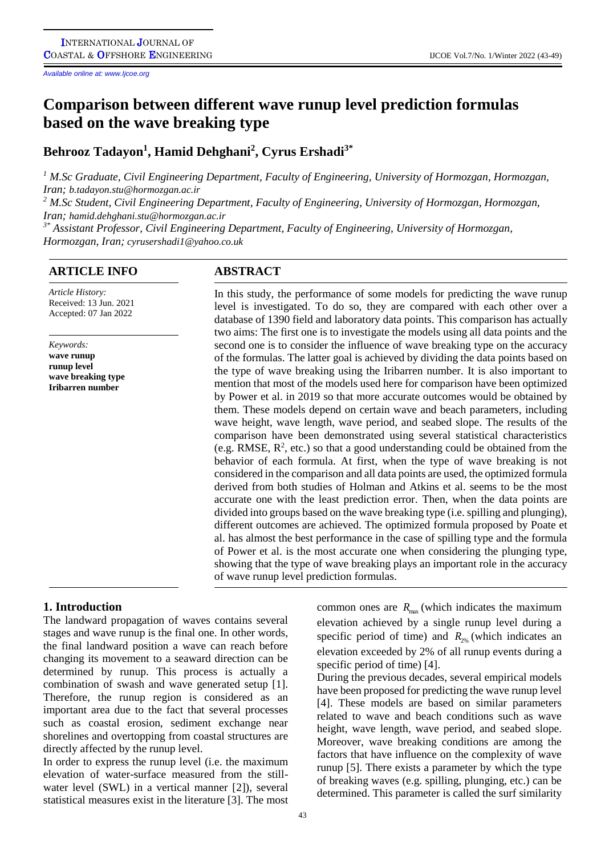*Available online at: www.Ijcoe.org*

# **Comparison between different wave runup level prediction formulas based on the wave breaking type**

# **Behrooz Tadayon<sup>1</sup> , Hamid Dehghani<sup>2</sup> , Cyrus Ershadi3\***

*<sup>1</sup> M.Sc Graduate, Civil Engineering Department, Faculty of Engineering, University of Hormozgan, Hormozgan, Iran; b.tadayon.stu@hormozgan.ac.ir <sup>2</sup> M.Sc Student, Civil Engineering Department, Faculty of Engineering, University of Hormozgan, Hormozgan,* 

*Iran; hamid.dehghani.stu@hormozgan.ac.ir 3\* Assistant Professor, Civil Engineering Department, Faculty of Engineering, University of Hormozgan,* 

*Hormozgan, Iran; cyrusershadi1@yahoo.co.uk*

# **ARTICLE INFO ABSTRACT**

*Article History:* Received: 13 Jun. 2021 Accepted: 07 Jan 2022

*Keywords:* **wave runup runup level wave breaking type Iribarren number**

In this study, the performance of some models for predicting the wave runup level is investigated. To do so, they are compared with each other over a database of 1390 field and laboratory data points. This comparison has actually two aims: The first one is to investigate the models using all data points and the second one is to consider the influence of wave breaking type on the accuracy of the formulas. The latter goal is achieved by dividing the data points based on the type of wave breaking using the Iribarren number. It is also important to mention that most of the models used here for comparison have been optimized by Power et al. in 2019 so that more accurate outcomes would be obtained by them. These models depend on certain wave and beach parameters, including wave height, wave length, wave period, and seabed slope. The results of the comparison have been demonstrated using several statistical characteristics (e.g. RMSE,  $R^2$ , etc.) so that a good understanding could be obtained from the behavior of each formula. At first, when the type of wave breaking is not considered in the comparison and all data points are used, the optimized formula derived from both studies of Holman and Atkins et al. seems to be the most accurate one with the least prediction error. Then, when the data points are divided into groups based on the wave breaking type (i.e. spilling and plunging), different outcomes are achieved. The optimized formula proposed by Poate et al. has almost the best performance in the case of spilling type and the formula of Power et al. is the most accurate one when considering the plunging type, showing that the type of wave breaking plays an important role in the accuracy of wave runup level prediction formulas.

# **1. Introduction**

The landward propagation of waves contains several stages and wave runup is the final one. In other words, the final landward position a wave can reach before changing its movement to a seaward direction can be determined by runup. This process is actually a combination of swash and wave generated setup [1]. Therefore, the runup region is considered as an important area due to the fact that several processes such as coastal erosion, sediment exchange near shorelines and overtopping from coastal structures are directly affected by the runup level.

In order to express the runup level (i.e. the maximum elevation of water-surface measured from the stillwater level (SWL) in a vertical manner [2]), several statistical measures exist in the literature [3]. The most

common ones are  $R_{\text{max}}$  (which indicates the maximum elevation achieved by a single runup level during a specific period of time) and  $R_{2\%}$  (which indicates an elevation exceeded by 2% of all runup events during a specific period of time) [4].

During the previous decades, several empirical models have been proposed for predicting the wave runup level [4]. These models are based on similar parameters related to wave and beach conditions such as wave height, wave length, wave period, and seabed slope. Moreover, wave breaking conditions are among the factors that have influence on the complexity of wave runup [5]. There exists a parameter by which the type of breaking waves (e.g. spilling, plunging, etc.) can be determined. This parameter is called the surf similarity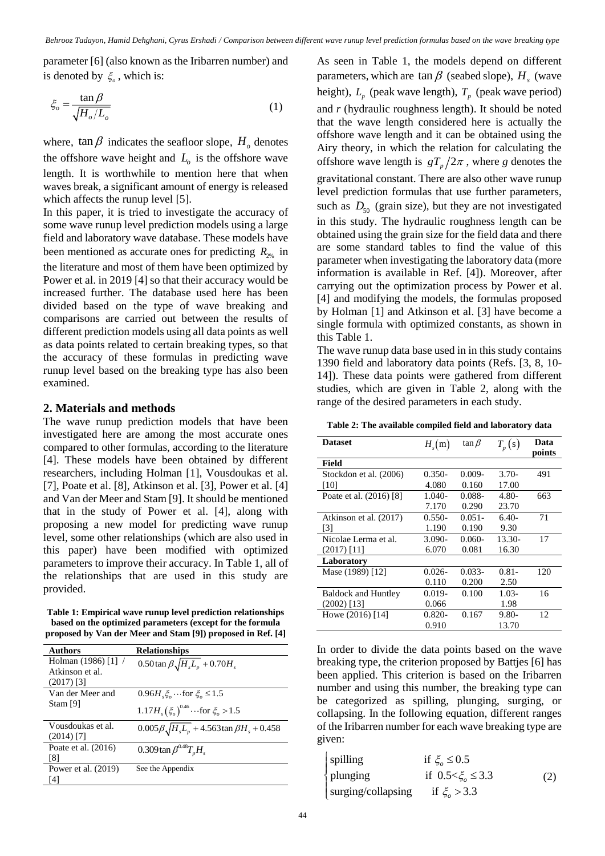parameter [6] (also known as the Iribarren number) and is denoted by  $\xi$ , which is:

$$
\xi_o = \frac{\tan \beta}{\sqrt{H_o/L_o}}\tag{1}
$$

where,  $\tan \beta$  indicates the seafloor slope,  $H_0$  denotes the offshore wave height and  $L<sub>o</sub>$  is the offshore wave length. It is worthwhile to mention here that when waves break, a significant amount of energy is released which affects the runup level [5].

In this paper, it is tried to investigate the accuracy of some wave runup level prediction models using a large field and laboratory wave database. These models have been mentioned as accurate ones for predicting  $R_{2\%}$  in the literature and most of them have been optimized by Power et al. in 2019 [4] so that their accuracy would be increased further. The database used here has been divided based on the type of wave breaking and comparisons are carried out between the results of different prediction models using all data points as well as data points related to certain breaking types, so that the accuracy of these formulas in predicting wave runup level based on the breaking type has also been examined.

#### **2. Materials and methods**

The wave runup prediction models that have been investigated here are among the most accurate ones compared to other formulas, according to the literature [4]. These models have been obtained by different researchers, including Holman [1], Vousdoukas et al. [7], Poate et al. [8], Atkinson et al. [3], Power et al. [4] and Van der Meer and Stam [9]. It should be mentioned that in the study of Power et al. [4], along with proposing a new model for predicting wave runup level, some other relationships (which are also used in this paper) have been modified with optimized parameters to improve their accuracy. In Table 1, all of the relationships that are used in this study are provided.

**Table 1: Empirical wave runup level prediction relationships based on the optimized parameters (except for the formula proposed by Van der Meer and Stam [9]) proposed in Ref. [4]**

| <b>Authors</b>                               | <b>Relationships</b>                                                               |
|----------------------------------------------|------------------------------------------------------------------------------------|
| Holman $(1986)$ [1] /<br>Atkinson et al.     | $0.50 \tan \beta \sqrt{H_s L_p} + 0.70 H_s$                                        |
| $(2017)$ [3]<br>Van der Meer and<br>Stam [9] | 0.96 <i>H</i> $\xi$ … for $\xi$ ≤ 1.5<br>$1.17H_s(\xi_o)^{0.46}$ for $\xi_o > 1.5$ |
| Vousdoukas et al.<br>$(2014)$ [7]            | $0.005 \beta \sqrt{H_s L_p} + 4.563 \tan \beta H_s + 0.458$                        |
| Poate et al. (2016)<br>[8]                   | 0.309 tan $\beta^{0.48}T_nH_s$                                                     |
| Power et al. (2019)<br>[4]                   | See the Appendix                                                                   |

As seen in Table 1, the models depend on different parameters, which are  $\tan \beta$  (seabed slope),  $H_s$  (wave height),  $L_p$  (peak wave length),  $T_p$  (peak wave period) and *r* (hydraulic roughness length). It should be noted that the wave length considered here is actually the offshore wave length and it can be obtained using the Airy theory, in which the relation for calculating the offshore wave length is  $gT_p/2\pi$ , where *g* denotes the gravitational constant. There are also other wave runup level prediction formulas that use further parameters, such as  $D_{50}$  (grain size), but they are not investigated in this study. The hydraulic roughness length can be obtained using the grain size for the field data and there are some standard tables to find the value of this parameter when investigating the laboratory data (more information is available in Ref. [4]). Moreover, after carrying out the optimization process by Power et al. [4] and modifying the models, the formulas proposed by Holman [1] and Atkinson et al. [3] have become a single formula with optimized constants, as shown in this Table 1.

The wave runup data base used in in this study contains 1390 field and laboratory data points (Refs. [3, 8, 10- 14]). These data points were gathered from different studies, which are given in Table 2, along with the range of the desired parameters in each study.

**Table 2: The available compiled field and laboratory data** 

| <b>Dataset</b>             | $H_{\rm s}(m)$ | $\tan \beta$ | $T_p(s)$ | Data   |
|----------------------------|----------------|--------------|----------|--------|
|                            |                |              |          | points |
| Field                      |                |              |          |        |
| Stockdon et al. (2006)     | $0.350-$       | $0.009 -$    | $3.70-$  | 491    |
| [10]                       | 4.080          | 0.160        | 17.00    |        |
| Poate et al. (2016) [8]    | 1.040-         | $0.088 -$    | 4.80-    | 663    |
|                            | 7.170          | 0.290        | 23.70    |        |
| Atkinson et al. (2017)     | $0.550-$       | $0.051 -$    | $6.40-$  | 71     |
| $\lceil 3 \rceil$          | 1.190          | 0.190        | 9.30     |        |
| Nicolae Lerma et al.       | $3.090-$       | $0.060-$     | $13.30-$ | 17     |
| $(2017)$ [11]              | 6.070          | 0.081        | 16.30    |        |
| Laboratory                 |                |              |          |        |
| Mase (1989) [12]           | $0.026 -$      | $0.033 -$    | $0.81 -$ | 120    |
|                            | 0.110          | 0.200        | 2.50     |        |
| <b>Baldock and Huntley</b> | $0.019 -$      | 0.100        | $1.03-$  | 16     |
| $(2002)$ [13]              | 0.066          |              | 1.98     |        |
| Howe (2016) [14]           | $0.820 -$      | 0.167        | $9.80 -$ | 12     |
|                            | 0.910          |              | 13.70    |        |

In order to divide the data points based on the wave breaking type, the criterion proposed by Battjes [6] has been applied. This criterion is based on the Iribarren number and using this number, the breaking type can be categorized as spilling, plunging, surging, or collapsing. In the following equation, different ranges of the Iribarren number for each wave breaking type are given:

| spilling           | if $\xi$ $\leq$ 0.5       |     |
|--------------------|---------------------------|-----|
| $\{$ plunging      | if $0.5 < \xi$ $\leq 3.3$ | (2) |
| surging/collapsing | if $\xi$ > 3.3            |     |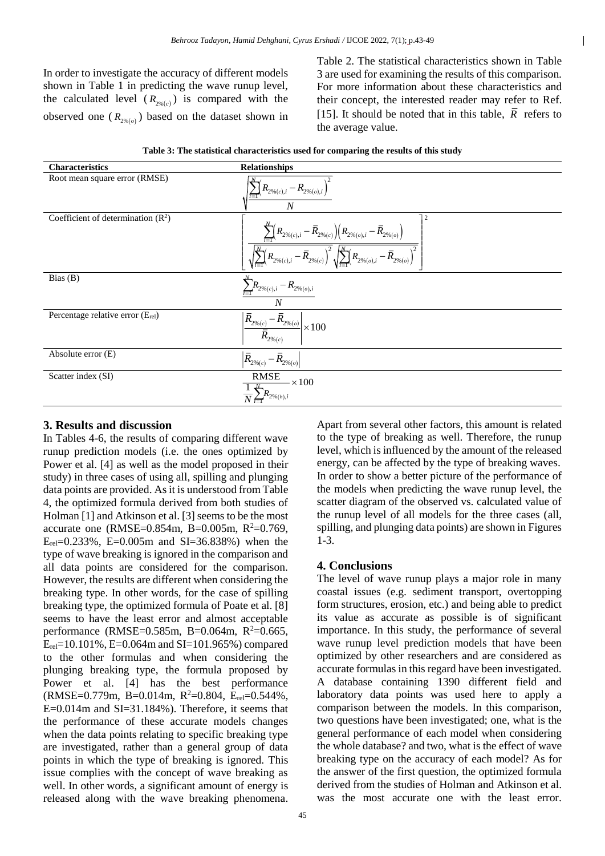In order to investigate the accuracy of different models shown in Table 1 in predicting the wave runup level, the calculated level  $(R_{2\%}(c))$  is compared with the observed one  $(R_{2\%(o)})$  based on the dataset shown in Table 2. The statistical characteristics shown in Table 3 are used for examining the results of this comparison. For more information about these characteristics and their concept, the interested reader may refer to Ref. [15]. It should be noted that in this table,  $\overline{R}$  refers to the average value.

 $\overline{1}$ 

| <b>Characteristics</b>               | <b>Relationships</b>                                                                                                                                                                                                                                                                                                                          |
|--------------------------------------|-----------------------------------------------------------------------------------------------------------------------------------------------------------------------------------------------------------------------------------------------------------------------------------------------------------------------------------------------|
| Root mean square error (RMSE)        | $\left(R_{2\% (c), i} - R_{2\% (o), i}\right)$<br>$\overline{N}$                                                                                                                                                                                                                                                                              |
| Coefficient of determination $(R^2)$ | $\overline{2}$<br>$\frac{\sum\limits_{i=1}^{N}\!\! \left(R_{2\%_{(c),i}}- \bar{R}_{2\%_{(c)}}\right)\!\! \left(R_{2\%_{(o),i}}- \bar{R}_{2\%_{(o)}}\right)}{\sqrt{\sum\limits_{i=1}^{N}\!\! \left(R_{2\%_{(c),i}}- \bar{R}_{2\%_{(c)}}\right)^2}\sqrt{\sum\limits_{i=1}^{N}\!\! \left(R_{2\%_{(o),i}}- \bar{R}_{2\%_{(o)}}\right)^2}}\right $ |
| Bias(B)                              | $\sum_{i=1}^{n} R_{2\%(c),i} - R_{2\%(o),i}$<br>$\overline{N}$                                                                                                                                                                                                                                                                                |
| Percentage relative error (Erel)     | $ \frac{\overline{\bar{R}_{2\%_{(c)}}}}{\overline{\bar{R}_{2\%_{(c)}}}}$<br>$\sqrt{1-\bar{R}_{2\%(0)}}$ × 100                                                                                                                                                                                                                                 |
| Absolute error $(E)$                 | $ \bar{R}_{2\%(c)}$ –<br>$\sqrt{1-\bar{R}}_{2\%(o)}$                                                                                                                                                                                                                                                                                          |
| Scatter index (SI)                   | $\overline{\text{RMSE}}$ × 100<br>$\frac{1}{2.7} \sum_{i=1}^{N} R_{2\%(b),i}$                                                                                                                                                                                                                                                                 |

| Table 3: The statistical characteristics used for comparing the results of this study |  |
|---------------------------------------------------------------------------------------|--|
|---------------------------------------------------------------------------------------|--|

#### **3. Results and discussion**

In Tables 4-6, the results of comparing different wave runup prediction models (i.e. the ones optimized by Power et al. [4] as well as the model proposed in their study) in three cases of using all, spilling and plunging data points are provided. As it is understood from Table 4, the optimized formula derived from both studies of Holman [1] and Atkinson et al. [3] seems to be the most accurate one (RMSE= $0.854$ m, B= $0.005$ m, R<sup>2</sup>= $0.769$ ,  $E_{rel}=0.233\%$ , E=0.005m and SI=36.838%) when the type of wave breaking is ignored in the comparison and all data points are considered for the comparison. However, the results are different when considering the breaking type. In other words, for the case of spilling breaking type, the optimized formula of Poate et al. [8] seems to have the least error and almost acceptable performance (RMSE=0.585m, B=0.064m,  $R^2$ =0.665,  $E_{rel}=10.101\%$ , E=0.064m and SI=101.965%) compared to the other formulas and when considering the plunging breaking type, the formula proposed by Power et al. [4] has the best performance  $(RMSE=0.779m, B=0.014m, R^2=0.804, E_{rel}=0.544\%$  $E=0.014$ m and  $SI=31.184%$ ). Therefore, it seems that the performance of these accurate models changes when the data points relating to specific breaking type are investigated, rather than a general group of data points in which the type of breaking is ignored. This issue complies with the concept of wave breaking as well. In other words, a significant amount of energy is released along with the wave breaking phenomena.

Apart from several other factors, this amount is related to the type of breaking as well. Therefore, the runup level, which is influenced by the amount of the released energy, can be affected by the type of breaking waves. In order to show a better picture of the performance of the models when predicting the wave runup level, the scatter diagram of the observed vs. calculated value of the runup level of all models for the three cases (all, spilling, and plunging data points) are shown in Figures 1-3.

#### **4. Conclusions**

The level of wave runup plays a major role in many coastal issues (e.g. sediment transport, overtopping form structures, erosion, etc.) and being able to predict its value as accurate as possible is of significant importance. In this study, the performance of several wave runup level prediction models that have been optimized by other researchers and are considered as accurate formulas in this regard have been investigated. A database containing 1390 different field and laboratory data points was used here to apply a comparison between the models. In this comparison, two questions have been investigated; one, what is the general performance of each model when considering the whole database? and two, what is the effect of wave breaking type on the accuracy of each model? As for the answer of the first question, the optimized formula derived from the studies of Holman and Atkinson et al. was the most accurate one with the least error.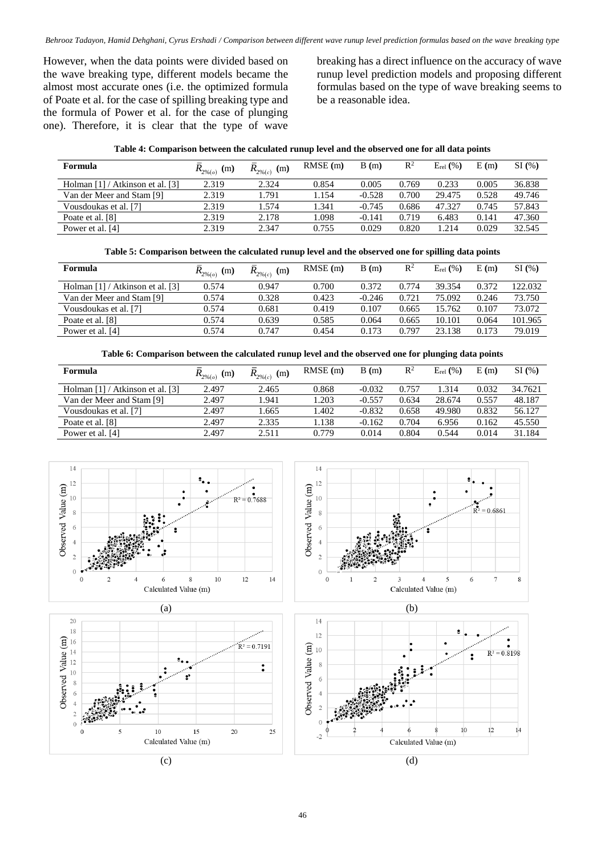However, when the data points were divided based on the wave breaking type, different models became the almost most accurate ones (i.e. the optimized formula of Poate et al. for the case of spilling breaking type and the formula of Power et al. for the case of plunging one). Therefore, it is clear that the type of wave breaking has a direct influence on the accuracy of wave runup level prediction models and proposing different formulas based on the type of wave breaking seems to be a reasonable idea.

|  |  | Table 4: Comparison between the calculated runup level and the observed one for all data points |  |
|--|--|-------------------------------------------------------------------------------------------------|--|
|--|--|-------------------------------------------------------------------------------------------------|--|

| Formula                          | $R_{2\%}(o)}$<br>(m) | $R_{2\%(c)}$<br>(m) | $RMSE$ (m) | B(m)     | $\mathbb{R}^2$ | $E_{rel}$ (%) | E(m)  | SI(%)  |
|----------------------------------|----------------------|---------------------|------------|----------|----------------|---------------|-------|--------|
| Holman [1] / Atkinson et al. [3] | 2.319                | 2.324               | 0.854      | 0.005    | 0.769          | 0.233         | 0.005 | 36.838 |
| Van der Meer and Stam [9]        | 2.319                | l.791               | 1.154      | $-0.528$ | 0.700          | 29.475        | 0.528 | 49.746 |
| Vousdoukas et al. [7]            | 2.319                | 1.574               | 1.341      | $-0.745$ | 0.686          | 47.327        | 0.745 | 57.843 |
| Poate et al. [8]                 | 2.319                | 2.178               | 1.098      | $-0.141$ | 0.719          | 6.483         | 0.141 | 47.360 |
| Power et al. [4]                 | 2.319                | 2.347               | 0.755      | 0.029    | 0.820          | .214          | 0.029 | 32.545 |

#### **Table 5: Comparison between the calculated runup level and the observed one for spilling data points**

| <b>Formula</b>                   | $R_{2\%_{(o)}}$<br>(m) | $R_{2\%_{(c)}}$ (m) | RMSE(m) | B(m)     | $\mathbb{R}^2$ | $E_{rel}$ (%) | E(m)  | SI(%)   |
|----------------------------------|------------------------|---------------------|---------|----------|----------------|---------------|-------|---------|
| Holman [1] / Atkinson et al. [3] | 0.574                  | 0.947               | 0.700   | 0.372    | 0.774          | 39.354        | 0.372 | 122.032 |
| Van der Meer and Stam [9]        | 0.574                  | 0.328               | 0.423   | $-0.246$ | 0.721          | 75.092        | 0.246 | 73.750  |
| Vousdoukas et al. [7]            | 0.574                  | 0.681               | 0.419   | 0.107    | 0.665          | 15.762        | 0.107 | 73.072  |
| Poate et al. [8]                 | 0.574                  | 0.639               | 0.585   | 0.064    | 0.665          | 10.101        | 0.064 | 101.965 |
| Power et al. [4]                 | 0.574                  | 0.747               | 0.454   | 0.173    | 0.797          | 23.138        | 0.173 | 79.019  |

#### **Table 6: Comparison between the calculated runup level and the observed one for plunging data points**

| Formula                          | $R_{\text{2\%}(o)}$<br>(m) | $R_{\scriptscriptstyle 2\% (c)}$<br>(m) | $RMSE$ (m) | B(m)     | $\mathbb{R}^2$ | $E_{rel}$ (%) | E(m)  | SI(%)   |
|----------------------------------|----------------------------|-----------------------------------------|------------|----------|----------------|---------------|-------|---------|
| Holman [1] / Atkinson et al. [3] | 2.497                      | 2.465                                   | 0.868      | $-0.032$ | 0.757          | .314          | 0.032 | 34.7621 |
| Van der Meer and Stam [9]        | 2.497                      | 1.941                                   | 1.203      | $-0.557$ | 0.634          | 28.674        | 0.557 | 48.187  |
| Vousdoukas et al. [7]            | 2.497                      | 1.665                                   | 1.402      | $-0.832$ | 0.658          | 49.980        | 0.832 | 56.127  |
| Poate et al. [8]                 | 2.497                      | 2.335                                   | 1.138      | $-0.162$ | 0.704          | 6.956         | 0.162 | 45.550  |
| Power et al. [4]                 | 2.497                      | 2.511                                   | 0.779      | 0.014    | 0.804          | 0.544         | 0.014 | 31.184  |

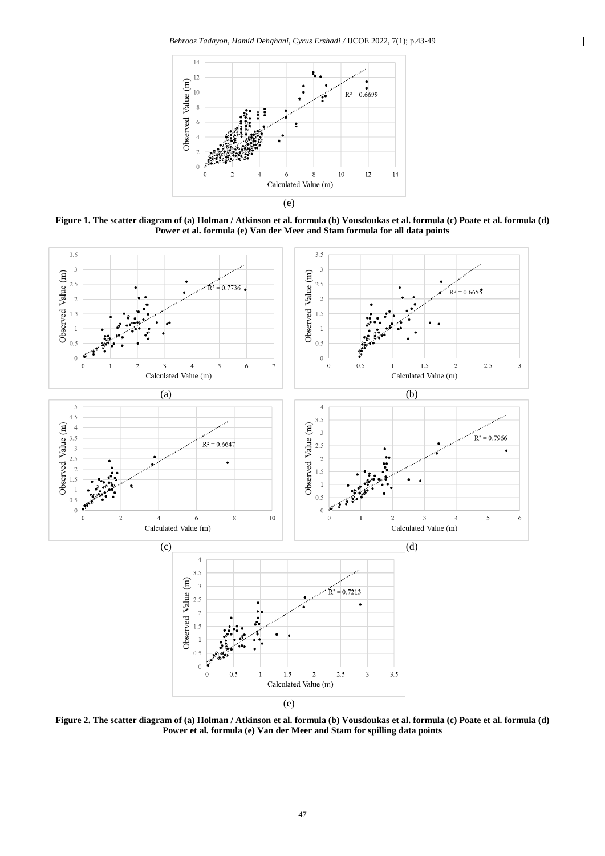

**Figure 1. The scatter diagram of (a) Holman / Atkinson et al. formula (b) Vousdoukas et al. formula (c) Poate et al. formula (d) Power et al. formula (e) Van der Meer and Stam formula for all data points**



**Figure 2. The scatter diagram of (a) Holman / Atkinson et al. formula (b) Vousdoukas et al. formula (c) Poate et al. formula (d) Power et al. formula (e) Van der Meer and Stam for spilling data points**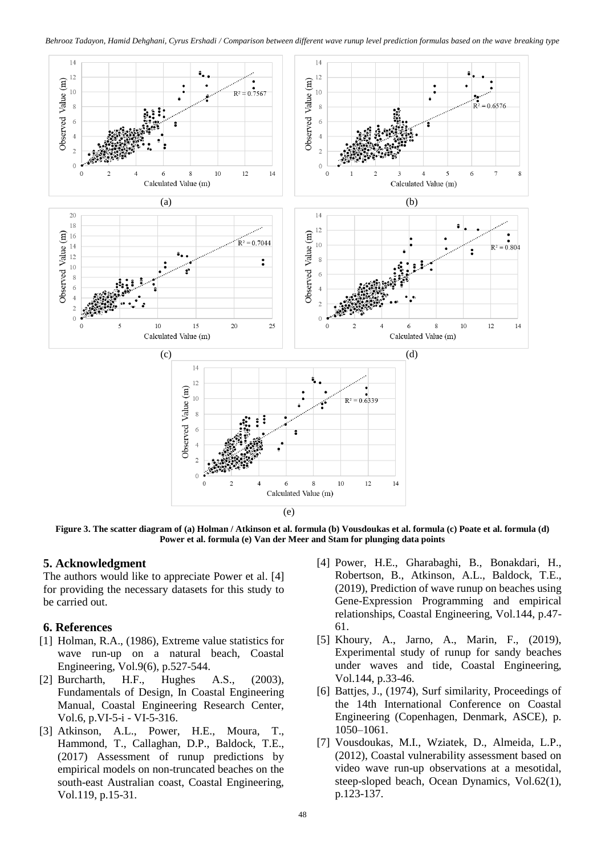

**Figure 3. The scatter diagram of (a) Holman / Atkinson et al. formula (b) Vousdoukas et al. formula (c) Poate et al. formula (d) Power et al. formula (e) Van der Meer and Stam for plunging data points**

### **5. Acknowledgment**

The authors would like to appreciate Power et al. [4] for providing the necessary datasets for this study to be carried out.

# **6. References**

- [1] Holman, R.A., (1986), Extreme value statistics for wave run-up on a natural beach, Coastal Engineering, Vol.9(6), p.527-544.
- [2] Burcharth, H.F., Hughes A.S., (2003), Fundamentals of Design, In Coastal Engineering Manual, Coastal Engineering Research Center, Vol.6, p.VI-5-i - VI-5-316.
- [3] Atkinson, A.L., Power, H.E., Moura, T., Hammond, T., Callaghan, D.P., Baldock, T.E., (2017) Assessment of runup predictions by empirical models on non-truncated beaches on the south-east Australian coast, Coastal Engineering, Vol.119, p.15-31.
- [4] Power, H.E., Gharabaghi, B., Bonakdari, H., Robertson, B., Atkinson, A.L., Baldock, T.E., (2019), Prediction of wave runup on beaches using Gene-Expression Programming and empirical relationships, Coastal Engineering, Vol.144, p.47- 61.
- [5] Khoury, A., Jarno, A., Marin, F., (2019), Experimental study of runup for sandy beaches under waves and tide, Coastal Engineering, Vol.144, p.33-46.
- [6] Battjes, J., (1974), Surf similarity, Proceedings of the 14th International Conference on Coastal Engineering (Copenhagen, Denmark, ASCE), p. 1050–1061.
- [7] Vousdoukas, M.I., Wziatek, D., Almeida, L.P., (2012), Coastal vulnerability assessment based on video wave run-up observations at a mesotidal, steep-sloped beach, Ocean Dynamics, Vol.62(1), p.123-137.